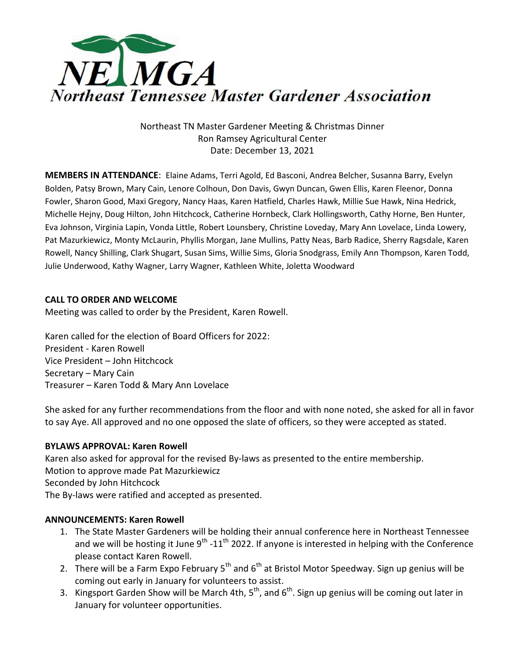

Northeast TN Master Gardener Meeting & Christmas Dinner Ron Ramsey Agricultural Center Date: December 13, 2021

**MEMBERS IN ATTENDANCE**: Elaine Adams, Terri Agold, Ed Basconi, Andrea Belcher, Susanna Barry, Evelyn Bolden, Patsy Brown, Mary Cain, Lenore Colhoun, Don Davis, Gwyn Duncan, Gwen Ellis, Karen Fleenor, Donna Fowler, Sharon Good, Maxi Gregory, Nancy Haas, Karen Hatfield, Charles Hawk, Millie Sue Hawk, Nina Hedrick, Michelle Hejny, Doug Hilton, John Hitchcock, Catherine Hornbeck, Clark Hollingsworth, Cathy Horne, Ben Hunter, Eva Johnson, Virginia Lapin, Vonda Little, Robert Lounsbery, Christine Loveday, Mary Ann Lovelace, Linda Lowery, Pat Mazurkiewicz, Monty McLaurin, Phyllis Morgan, Jane Mullins, Patty Neas, Barb Radice, Sherry Ragsdale, Karen Rowell, Nancy Shilling, Clark Shugart, Susan Sims, Willie Sims, Gloria Snodgrass, Emily Ann Thompson, Karen Todd, Julie Underwood, Kathy Wagner, Larry Wagner, Kathleen White, Joletta Woodward

# **CALL TO ORDER AND WELCOME**

Meeting was called to order by the President, Karen Rowell.

Karen called for the election of Board Officers for 2022: President - Karen Rowell Vice President – John Hitchcock Secretary – Mary Cain Treasurer – Karen Todd & Mary Ann Lovelace

She asked for any further recommendations from the floor and with none noted, she asked for all in favor to say Aye. All approved and no one opposed the slate of officers, so they were accepted as stated.

# **BYLAWS APPROVAL: Karen Rowell**

Karen also asked for approval for the revised By-laws as presented to the entire membership. Motion to approve made Pat Mazurkiewicz Seconded by John Hitchcock The By-laws were ratified and accepted as presented.

# **ANNOUNCEMENTS: Karen Rowell**

- 1. The State Master Gardeners will be holding their annual conference here in Northeast Tennessee and we will be hosting it June 9<sup>th</sup> -11<sup>th</sup> 2022. If anyone is interested in helping with the Conference please contact Karen Rowell.
- 2. There will be a Farm Expo February  $5<sup>th</sup>$  and  $6<sup>th</sup>$  at Bristol Motor Speedway. Sign up genius will be coming out early in January for volunteers to assist.
- 3. Kingsport Garden Show will be March 4th, 5<sup>th</sup>, and 6<sup>th</sup>. Sign up genius will be coming out later in January for volunteer opportunities.